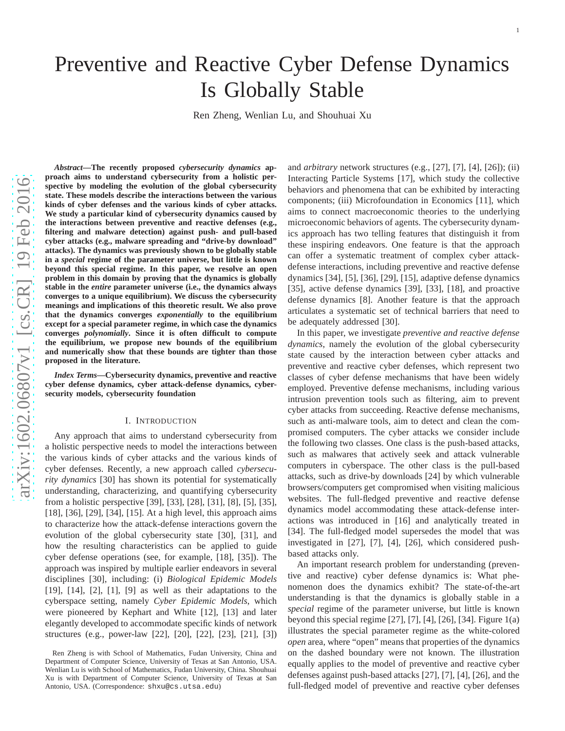# Preventive and Reactive Cyber Defense Dynamics Is Globally Stable

Ren Zheng, Wenlian Lu, and Shouhuai Xu

*Abstract***—The recently proposed** *cybersecurity dynamics* **approach aims to understand cybersecurity from a holistic perspective by modeling the evolution of the global cybersecurity state. These models describe the interactions between the various kinds of cyber defenses and the various kinds of cyber attacks. We study a particular kind of cybersecurity dynamics caused by the interactions between preventive and reactive defenses (e.g., filtering and malware detection) against push- and pull-based cyber attacks (e.g., malware spreading and "drive-by download" attacks). The dynamics was previously shown to be globally stable in a** *special* **regime of the parameter universe, but little is known beyond this special regime. In this paper, we resolve an open problem in this domain by proving that the dynamics is globally stable in the** *entire* **parameter universe (i.e., the dynamics always converges to a unique equilibrium). We discuss the cybersecurity meanings and implications of this theoretic result. We also prove that the dynamics converges** *exponentially* **to the equilibrium except for a special parameter regime, in which case the dynamics converges** *polynomially***. Since it is often difficult to compute the equilibrium, we propose new bounds of the equilibrium and numerically show that these bounds are tighter than thos e proposed in the literature.**

*Index Terms***—Cybersecurity dynamics, preventive and reactive cyber defense dynamics, cyber attack-defense dynamics, cybersecurity models, cybersecurity foundation**

### I. INTRODUCTION

Any approach that aims to understand cybersecurity from a holistic perspective needs to model the interactions between the various kinds of cyber attacks and the various kinds of cyber defenses. Recently, a new approach called *cybersecurity dynamics* [30] has shown its potential for systematically understanding, characterizing, and quantifying cybersecurity from a holistic perspective [39], [33], [28], [31], [8], [5], [35], [18], [36], [29], [34], [15]. At a high level, this approach aims to characterize how the attack-defense interactions govern the evolution of the global cybersecurity state [30], [31], and how the resulting characteristics can be applied to guide cyber defense operations (see, for example, [18], [35]). Th e approach was inspired by multiple earlier endeavors in several disciplines [30], including: (i) *Biological Epidemic Models* [19], [14], [2], [1], [9] as well as their adaptations to the cyberspace setting, namely *Cyber Epidemic Models*, which were pioneered by Kephart and White [12], [13] and later elegantly developed to accommodate specific kinds of networ k structures (e.g., power-law [22], [20], [22], [23], [21], [3])

and *arbitrary* network structures (e.g., [27], [7], [4], [26]); (ii) Interacting Particle Systems [17], which study the collective behaviors and phenomena that can be exhibited by interactin g components; (iii) Microfoundation in Economics [11], whic h aims to connect macroeconomic theories to the underlying microeconomic behaviors of agents. The cybersecurity dynamics approach has two telling features that distinguish it from these inspiring endeavors. One feature is that the approach can offer a systematic treatment of complex cyber attackdefense interactions, including preventive and reactive defense dynamics [34], [5], [36], [29], [15], adaptive defense dynamics [35], active defense dynamics [39], [33], [18], and proactive defense dynamics [8]. Another feature is that the approach articulates a systematic set of technical barriers that need to be adequately addressed [30].

In this paper, we investigate *preventive and reactive defense dynamics*, namely the evolution of the global cybersecurity state caused by the interaction between cyber attacks and preventive and reactive cyber defenses, which represent two classes of cyber defense mechanisms that have been widely employed. Preventive defense mechanisms, including various intrusion prevention tools such as filtering, aim to prevent cyber attacks from succeeding. Reactive defense mechanisms, such as anti-malware tools, aim to detect and clean the compromised computers. The cyber attacks we consider include the following two classes. One class is the push-based attacks, such as malwares that actively seek and attack vulnerable computers in cyberspace. The other class is the pull-based attacks, such as drive-by downloads [24] by which vulnerabl e browsers/computers get compromised when visiting malicious websites. The full-fledged preventive and reactive defense dynamics model accommodating these attack-defense interactions was introduced in [16] and analytically treated in [34]. The full-fledged model supersedes the model that was investigated in [27], [7], [4], [26], which considered push based attacks only.

An important research problem for understanding (preventive and reactive) cyber defense dynamics is: What phenomenon does the dynamics exhibit? The state-of-the-art understanding is that the dynamics is globally stable in a *special* regime of the parameter universe, but little is known beyond this special regime [27], [7], [4], [26], [34]. Figure 1(a) illustrates the special parameter regime as the white-colored *open* area, where "open" means that properties of the dynamics on the dashed boundary were not known. The illustration equally applies to the model of preventive and reactive cybe r defenses against push-based attacks [27], [7], [4], [26], and the full-fledged model of preventive and reactive cyber defense s

Ren Zheng is with School of Mathematics, Fudan University, China and Department of Computer Science, University of Texas at San Antonio, USA. Wenlian Lu is with School of Mathematics, Fudan University, China. Shouhuai Xu is with Department of Computer Science, University of Texas at San Antonio, USA. (Correspondence: shxu@cs.utsa.edu)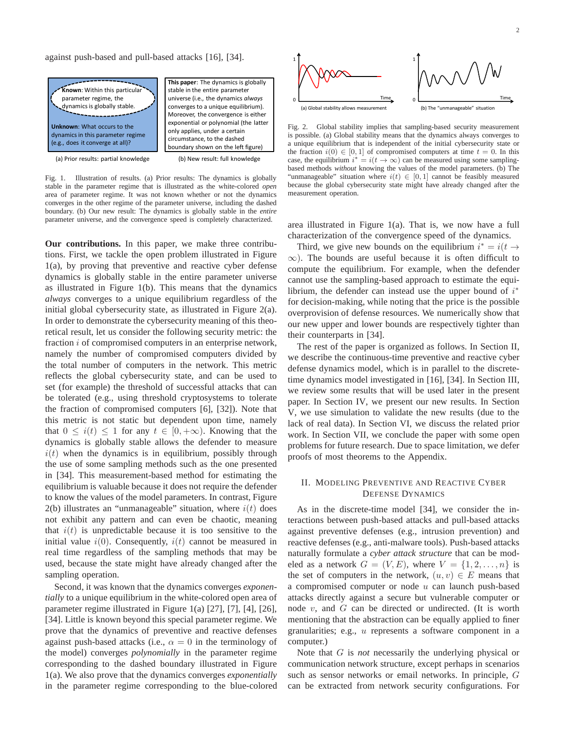against push-based and pull-based attacks [16], [34].



Fig. 1. Illustration of results. (a) Prior results: The dynamics is globally stable in the parameter regime that is illustrated as the white-colored *open* area of parameter regime. It was not known whether or not the dynamics converges in the other regime of the parameter universe, including the dashed boundary. (b) Our new result: The dynamics is globally stable in the *entire* parameter universe, and the convergence speed is completely characterized.

**Our contributions.** In this paper, we make three contributions. First, we tackle the open problem illustrated in Figure 1(a), by proving that preventive and reactive cyber defense dynamics is globally stable in the entire parameter universe as illustrated in Figure 1(b). This means that the dynamics *always* converges to a unique equilibrium regardless of the initial global cybersecurity state, as illustrated in Figure 2(a). In order to demonstrate the cybersecurity meaning of this theoretical result, let us consider the following security metric: the fraction *i* of compromised computers in an enterprise network, namely the number of compromised computers divided by the total number of computers in the network. This metric reflects the global cybersecurity state, and can be used to set (for example) the threshold of successful attacks that can be tolerated (e.g., using threshold cryptosystems to tolerate the fraction of compromised computers [6], [32]). Note that this metric is not static but dependent upon time, namely that  $0 \leq i(t) \leq 1$  for any  $t \in [0, +\infty)$ . Knowing that the dynamics is globally stable allows the defender to measure  $i(t)$  when the dynamics is in equilibrium, possibly through the use of some sampling methods such as the one presented in [34]. This measurement-based method for estimating the equilibrium is valuable because it does not require the defender to know the values of the model parameters. In contrast, Figure 2(b) illustrates an "unmanageable" situation, where  $i(t)$  does not exhibit any pattern and can even be chaotic, meaning that  $i(t)$  is unpredictable because it is too sensitive to the initial value  $i(0)$ . Consequently,  $i(t)$  cannot be measured in real time regardless of the sampling methods that may be used, because the state might have already changed after the sampling operation.

Second, it was known that the dynamics converges *exponentially* to a unique equilibrium in the white-colored open area of parameter regime illustrated in Figure 1(a) [27], [7], [4], [26], [34]. Little is known beyond this special parameter regime. We prove that the dynamics of preventive and reactive defenses against push-based attacks (i.e.,  $\alpha = 0$  in the terminology of the model) converges *polynomially* in the parameter regime corresponding to the dashed boundary illustrated in Figure 1(a). We also prove that the dynamics converges *exponentially* in the parameter regime corresponding to the blue-colored



Fig. 2. Global stability implies that sampling-based security measurement is possible. (a) Global stability means that the dynamics always converges to a unique equilibrium that is independent of the initial cybersecurity state or the fraction  $i(0) \in [0, 1]$  of compromised computers at time  $t = 0$ . In this case, the equilibrium  $i^* = i(t \to \infty)$  can be measured using some samplingbased methods *without* knowing the values of the model parameters. (b) The "unmanageable" situation where  $i(t) \in [0, 1]$  cannot be feasibly measured because the global cybersecurity state might have already changed after the measurement operation.

area illustrated in Figure 1(a). That is, we now have a full characterization of the convergence speed of the dynamics.

Third, we give new bounds on the equilibrium  $i^* = i(t \rightarrow$  $\infty$ ). The bounds are useful because it is often difficult to compute the equilibrium. For example, when the defender cannot use the sampling-based approach to estimate the equilibrium, the defender can instead use the upper bound of  $i^*$ for decision-making, while noting that the price is the possible overprovision of defense resources. We numerically show that our new upper and lower bounds are respectively tighter than their counterparts in [34].

The rest of the paper is organized as follows. In Section II, we describe the continuous-time preventive and reactive cyber defense dynamics model, which is in parallel to the discretetime dynamics model investigated in [16], [34]. In Section III, we review some results that will be used later in the present paper. In Section IV, we present our new results. In Section V, we use simulation to validate the new results (due to the lack of real data). In Section VI, we discuss the related prior work. In Section VII, we conclude the paper with some open problems for future research. Due to space limitation, we defer proofs of most theorems to the Appendix.

# II. MODELING PREVENTIVE AND REACTIVE CYBER DEFENSE DYNAMICS

As in the discrete-time model [34], we consider the interactions between push-based attacks and pull-based attacks against preventive defenses (e.g., intrusion prevention) and reactive defenses (e.g., anti-malware tools). Push-based attacks naturally formulate a *cyber attack structure* that can be modeled as a network  $G = (V, E)$ , where  $V = \{1, 2, \ldots, n\}$  is the set of computers in the network,  $(u, v) \in E$  means that a compromised computer or node  $u$  can launch push-based attacks directly against a secure but vulnerable computer or node  $v$ , and  $G$  can be directed or undirected. (It is worth mentioning that the abstraction can be equally applied to finer granularities; e.g., u represents a software component in a computer.)

Note that G is *not* necessarily the underlying physical or communication network structure, except perhaps in scenarios such as sensor networks or email networks. In principle, G can be extracted from network security configurations. For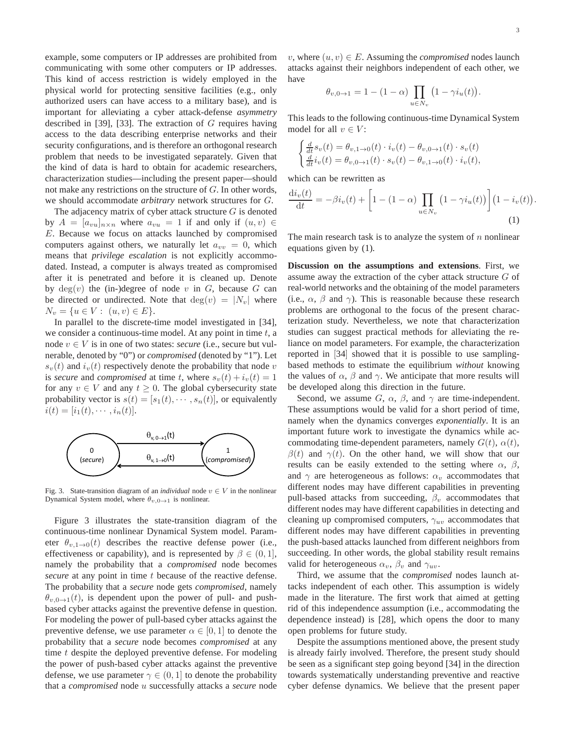.

example, some computers or IP addresses are prohibited from communicating with some other computers or IP addresses. This kind of access restriction is widely employed in the physical world for protecting sensitive facilities (e.g., only authorized users can have access to a military base), and is important for alleviating a cyber attack-defense *asymmetry* described in [39], [33]. The extraction of  $G$  requires having access to the data describing enterprise networks and their security configurations, and is therefore an orthogonal research problem that needs to be investigated separately. Given that the kind of data is hard to obtain for academic researchers, characterization studies—including the present paper—should not make any restrictions on the structure of G. In other words, we should accommodate *arbitrary* network structures for G.

The adjacency matrix of cyber attack structure  $G$  is denoted by  $A = [a_{vu}]_{n \times n}$  where  $a_{vu} = 1$  if and only if  $(u, v) \in$ E. Because we focus on attacks launched by compromised computers against others, we naturally let  $a_{vv} = 0$ , which means that *privilege escalation* is not explicitly accommodated. Instead, a computer is always treated as compromised after it is penetrated and before it is cleaned up. Denote by  $deg(v)$  the (in-)degree of node v in G, because G can be directed or undirected. Note that  $deg(v) = |N_v|$  where  $N_v = \{u \in V : (u, v) \in E\}.$ 

In parallel to the discrete-time model investigated in [34], we consider a continuous-time model. At any point in time  $t$ , a node  $v \in V$  is in one of two states: *secure* (i.e., secure but vulnerable, denoted by "0") or *compromised* (denoted by "1"). Let  $s_v(t)$  and  $i_v(t)$  respectively denote the probability that node v is *secure* and *compromised* at time t, where  $s_v(t) + i_v(t) = 1$ for any  $v \in V$  and any  $t \geq 0$ . The global cybersecurity state probability vector is  $s(t) = [s_1(t), \cdots, s_n(t)]$ , or equivalently  $i(t) = [i_1(t), \cdots, i_n(t)].$ 



Fig. 3. State-transition diagram of an *individual* node  $v \in V$  in the nonlinear Dynamical System model, where  $\theta_{v,0\to 1}$  is nonlinear.

Figure 3 illustrates the state-transition diagram of the continuous-time nonlinear Dynamical System model. Parameter  $\theta_{v,1\rightarrow 0}(t)$  describes the reactive defense power (i.e., effectiveness or capability), and is represented by  $\beta \in (0, 1]$ , namely the probability that a *compromised* node becomes *secure* at any point in time t because of the reactive defense. The probability that a *secure* node gets *compromised*, namely  $\theta_{v,0\to1}(t)$ , is dependent upon the power of pull- and pushbased cyber attacks against the preventive defense in question. For modeling the power of pull-based cyber attacks against the preventive defense, we use parameter  $\alpha \in [0, 1]$  to denote the probability that a *secure* node becomes *compromised* at any time t despite the deployed preventive defense. For modeling the power of push-based cyber attacks against the preventive defense, we use parameter  $\gamma \in (0, 1]$  to denote the probability that a *compromised* node u successfully attacks a *secure* node

v, where  $(u, v) \in E$ . Assuming the *compromised* nodes launch attacks against their neighbors independent of each other, we have

$$
\theta_{v,0\to 1} = 1 - (1 - \alpha) \prod_{u \in N_v} (1 - \gamma i_u(t)).
$$

This leads to the following continuous-time Dynamical System model for all  $v \in V$ :

$$
\begin{cases} \frac{d}{dt} s_v(t) = \theta_{v,1 \to 0}(t) \cdot i_v(t) - \theta_{v,0 \to 1}(t) \cdot s_v(t) \\ \frac{d}{dt} i_v(t) = \theta_{v,0 \to 1}(t) \cdot s_v(t) - \theta_{v,1 \to 0}(t) \cdot i_v(t), \end{cases}
$$

which can be rewritten as

$$
\frac{\mathrm{d}i_v(t)}{\mathrm{d}t} = -\beta i_v(t) + \left[1 - (1 - \alpha) \prod_{u \in N_v} \left(1 - \gamma i_u(t)\right)\right] \left(1 - i_v(t)\right) \tag{1}
$$

The main research task is to analyze the system of  $n$  nonlinear equations given by (1).

**Discussion on the assumptions and extensions**. First, we assume away the extraction of the cyber attack structure G of real-world networks and the obtaining of the model parameters (i.e.,  $\alpha$ ,  $\beta$  and  $\gamma$ ). This is reasonable because these research problems are orthogonal to the focus of the present characterization study. Nevertheless, we note that characterization studies can suggest practical methods for alleviating the reliance on model parameters. For example, the characterization reported in [34] showed that it is possible to use samplingbased methods to estimate the equilibrium *without* knowing the values of  $\alpha$ ,  $\beta$  and  $\gamma$ . We anticipate that more results will be developed along this direction in the future.

Second, we assume  $G$ ,  $\alpha$ ,  $\beta$ , and  $\gamma$  are time-independent. These assumptions would be valid for a short period of time, namely when the dynamics converges *exponentially*. It is an important future work to investigate the dynamics while accommodating time-dependent parameters, namely  $G(t)$ ,  $\alpha(t)$ ,  $\beta(t)$  and  $\gamma(t)$ . On the other hand, we will show that our results can be easily extended to the setting where  $\alpha$ ,  $\beta$ , and  $\gamma$  are heterogeneous as follows:  $\alpha_v$  accommodates that different nodes may have different capabilities in preventing pull-based attacks from succeeding,  $\beta_v$  accommodates that different nodes may have different capabilities in detecting and cleaning up compromised computers,  $\gamma_{uv}$  accommodates that different nodes may have different capabilities in preventing the push-based attacks launched from different neighbors from succeeding. In other words, the global stability result remains valid for heterogeneous  $\alpha_v$ ,  $\beta_v$  and  $\gamma_{uv}$ .

Third, we assume that the *compromised* nodes launch attacks independent of each other. This assumption is widely made in the literature. The first work that aimed at getting rid of this independence assumption (i.e., accommodating the dependence instead) is [28], which opens the door to many open problems for future study.

Despite the assumptions mentioned above, the present study is already fairly involved. Therefore, the present study should be seen as a significant step going beyond [34] in the direction towards systematically understanding preventive and reactive cyber defense dynamics. We believe that the present paper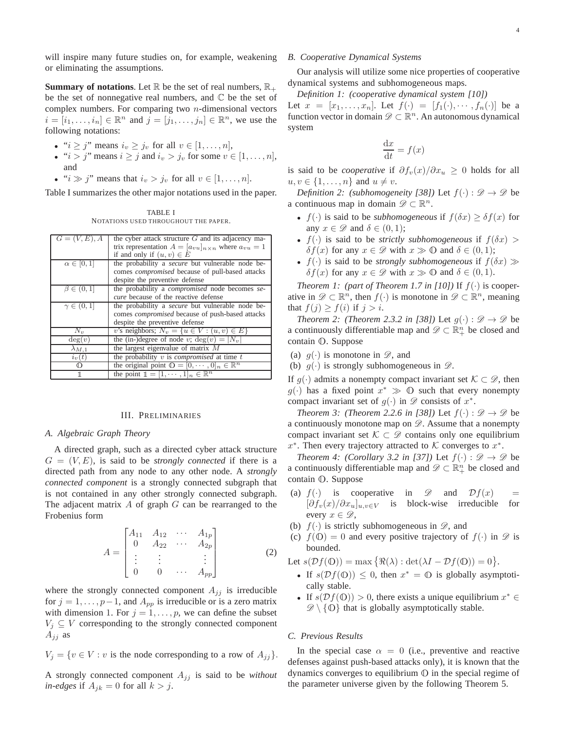will inspire many future studies on, for example, weakening or eliminating the assumptions.

**Summary of notations.** Let  $\mathbb{R}$  be the set of real numbers,  $\mathbb{R}_+$ be the set of nonnegative real numbers, and  $\mathbb C$  be the set of complex numbers. For comparing two  $n$ -dimensional vectors  $i = [i_1, \ldots, i_n] \in \mathbb{R}^n$  and  $j = [j_1, \ldots, j_n] \in \mathbb{R}^n$ , we use the following notations:

- " $i \geq j$ " means  $i_v \geq j_v$  for all  $v \in [1, \ldots, n]$ ,
- " $i > j$ " means  $i \ge j$  and  $i_v > j_v$  for some  $v \in [1, \dots, n]$ , and
- " $i \gg j$ " means that  $i_v > j_v$  for all  $v \in [1, \ldots, n]$ .

Table I summarizes the other major notations used in the paper.

TABLE I NOTATIONS USED THROUGHOUT THE PAPER.

| $G=(V,E),A$        | the cyber attack structure $G$ and its adjacency ma-               |
|--------------------|--------------------------------------------------------------------|
|                    | trix representation $A = [a_{vu}]_{n \times n}$ where $a_{vu} = 1$ |
|                    | if and only if $(u, v) \in E$                                      |
| $\alpha \in [0,1]$ | the probability a secure but vulnerable node be-                   |
|                    | comes <i>compromised</i> because of pull-based attacks             |
|                    | despite the preventive defense                                     |
| $\beta \in (0,1]$  | the probability a <i>compromised</i> node becomes se-              |
|                    | cure because of the reactive defense                               |
| $\gamma \in (0,1]$ | the probability a <i>secure</i> but vulnerable node be-            |
|                    | comes <i>compromised</i> because of push-based attacks             |
|                    | despite the preventive defense                                     |
| $N_v$              | v's neighbors; $N_v = \{u \in V : (u, v) \in E\}$                  |
| deg(v)             | the (in-)degree of node v; $deg(v) =  N_v $                        |
| $\lambda_{M,1}$    | the largest eigenvalue of matrix $M$                               |
| $i_v(t)$           | the probability $v$ is <i>compromised</i> at time $t$              |
| の                  | the original point $\mathbb{O} = [0, \dots, 0]_n \in \mathbb{R}^n$ |
| 1                  | the point $\mathbb{1} = [1, \cdots, 1]_n \in \mathbb{R}^n$         |

#### III. PRELIMINARIES

#### *A. Algebraic Graph Theory*

A directed graph, such as a directed cyber attack structure  $G = (V, E)$ , is said to be *strongly connected* if there is a directed path from any node to any other node. A *strongly connected component* is a strongly connected subgraph that is not contained in any other strongly connected subgraph. The adjacent matrix  $A$  of graph  $G$  can be rearranged to the Frobenius form

$$
A = \begin{bmatrix} A_{11} & A_{12} & \cdots & A_{1p} \\ 0 & A_{22} & \cdots & A_{2p} \\ \vdots & \vdots & & \vdots \\ 0 & 0 & \cdots & A_{pp} \end{bmatrix}
$$
 (2)

where the strongly connected component  $A_{ij}$  is irreducible for  $j = 1, \ldots, p-1$ , and  $A_{pp}$  is irreducible or is a zero matrix with dimension 1. For  $j = 1, \ldots, p$ , we can define the subset  $V_j \subseteq V$  corresponding to the strongly connected component  $A_{jj}$  as

$$
V_j = \{ v \in V : v \text{ is the node corresponding to a row of } A_{jj} \}.
$$

A strongly connected component  $A_{ij}$  is said to be *without in-edges* if  $A_{ik} = 0$  for all  $k > j$ .

## *B. Cooperative Dynamical Systems*

Our analysis will utilize some nice properties of cooperative dynamical systems and subhomogeneous maps.

*Definition 1: (cooperative dynamical system [10])* Let  $x = [x_1, \ldots, x_n]$ . Let  $f(\cdot) = [f_1(\cdot), \cdots, f_n(\cdot)]$  be a function vector in domain  $\mathscr{D} \subset \mathbb{R}^n$ . An autonomous dynamical system

$$
\frac{\mathrm{d}x}{\mathrm{d}t} = f(x)
$$

is said to be *cooperative* if  $\partial f_v(x)/\partial x_u \geq 0$  holds for all  $u, v \in \{1, \ldots, n\}$  and  $u \neq v$ .

*Definition 2: (subhomogeneity [38])* Let  $f(\cdot) : \mathcal{D} \to \mathcal{D}$  be a continuous map in domain  $\mathscr{D} \subset \mathbb{R}^n$ .

- $f(\cdot)$  is said to be *subhomogeneous* if  $f(\delta x) \geq \delta f(x)$  for any  $x \in \mathscr{D}$  and  $\delta \in (0,1)$ ;
- $f(\cdot)$  is said to be *strictly subhomogeneous* if  $f(\delta x)$  $\delta f(x)$  for any  $x \in \mathscr{D}$  with  $x \gg 0$  and  $\delta \in (0,1)$ ;
- $f(\cdot)$  is said to be *strongly subhomogeneous* if  $f(\delta x) \gg$  $\delta f(x)$  for any  $x \in \mathscr{D}$  with  $x \gg 0$  and  $\delta \in (0,1)$ .

*Theorem 1: (part of Theorem 1.7 in [10])* If  $f(\cdot)$  is cooperative in  $\mathscr{D} \subset \mathbb{R}^n$ , then  $f(\cdot)$  is monotone in  $\mathscr{D} \subset \mathbb{R}^n$ , meaning that  $f(j) \ge f(i)$  if  $j > i$ .

*Theorem 2: (Theorem 2.3.2 in [38])* Let  $g(\cdot): \mathcal{D} \to \mathcal{D}$  be a continuously differentiable map and  $\mathscr{D} \subset \mathbb{R}^n_+$  be closed and contain <sup>O</sup>. Suppose

- (a)  $g(\cdot)$  is monotone in  $\mathscr{D}$ , and
- (b)  $g(\cdot)$  is strongly subhomogeneous in  $\mathscr{D}$ .

If  $g(\cdot)$  admits a nonempty compact invariant set  $\mathcal{K} \subset \mathscr{D}$ , then  $g(\cdot)$  has a fixed point  $x^* \gg 0$  such that every nonempty compact invariant set of  $g(\cdot)$  in  $\mathscr{D}$  consists of  $x^*$ .

*Theorem 3: (Theorem 2.2.6 in [38])* Let  $f(\cdot): \mathcal{D} \to \mathcal{D}$  be a continuously monotone map on  $\mathscr{D}$ . Assume that a nonempty compact invariant set  $K \subset \mathscr{D}$  contains only one equilibrium  $x^*$ . Then every trajectory attracted to K converges to  $x^*$ .

*Theorem 4: (Corollary 3.2 in [37])* Let  $f(\cdot): \mathcal{D} \to \mathcal{D}$  be a continuously differentiable map and  $\mathscr{D} \subset \mathbb{R}^n_+$  be closed and contain <sup>O</sup>. Suppose

- (a)  $f(\cdot)$  is cooperative in  $\mathscr{D}$  and  $\mathcal{D}f(x)$  =  $[\partial f_v(x)/\partial x_u]_{u,v \in V}$  is block-wise irreducible for every  $x \in \mathscr{D}$ ,
- (b)  $f(\cdot)$  is strictly subhomogeneous in  $\mathscr{D}$ , and
- (c)  $f(\mathbb{O}) = 0$  and every positive trajectory of  $f(\cdot)$  in  $\mathscr{D}$  is bounded.

Let 
$$
s(\mathcal{D}f(\mathbb{O})) = \max \{ \Re(\lambda) : \det(\lambda I - \mathcal{D}f(\mathbb{O})) = 0 \}.
$$

- If  $s(\mathcal{D}f(\mathbb{O})) \leq 0$ , then  $x^* = \mathbb{O}$  is globally asymptotically stable.
- If  $s(\mathcal{D}f(\mathbb{O})) > 0$ , there exists a unique equilibrium  $x^* \in$  $\mathscr{D}\setminus\{0\}$  that is globally asymptotically stable.

#### *C. Previous Results*

In the special case  $\alpha = 0$  (i.e., preventive and reactive defenses against push-based attacks only), it is known that the dynamics converges to equilibrium  $\mathbb O$  in the special regime of the parameter universe given by the following Theorem 5.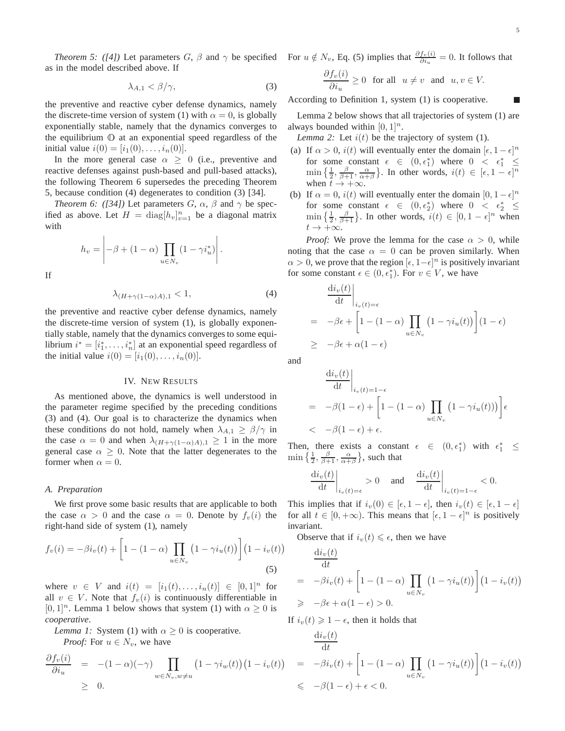*Theorem 5: ([4])* Let parameters  $G$ ,  $\beta$  and  $\gamma$  be specified as in the model described above. If

$$
\lambda_{A,1} < \beta/\gamma,\tag{3}
$$

the preventive and reactive cyber defense dynamics, namely the discrete-time version of system (1) with  $\alpha = 0$ , is globally exponentially stable, namely that the dynamics converges to the equilibrium <sup>O</sup> at an exponential speed regardless of the initial value  $i(0) = [i_1(0), \ldots, i_n(0)].$ 

In the more general case  $\alpha \geq 0$  (i.e., preventive and reactive defenses against push-based and pull-based attacks), the following Theorem 6 supersedes the preceding Theorem 5, because condition (4) degenerates to condition (3) [34].

*Theorem 6: ([34])* Let parameters  $G$ ,  $\alpha$ ,  $\beta$  and  $\gamma$  be specified as above. Let  $H = \text{diag}[h_v]_{v=1}^n$  be a diagonal matrix with

$$
h_v = \left| -\beta + (1 - \alpha) \prod_{u \in N_v} (1 - \gamma i_u^*) \right|.
$$

If

$$
\lambda_{(H+\gamma(1-\alpha)A),1} < 1,\tag{4}
$$

the preventive and reactive cyber defense dynamics, namely the discrete-time version of system (1), is globally exponentially stable, namely that the dynamics converges to some equilibrium  $i^* = [i_1^*, \ldots, i_n^*]$  at an exponential speed regardless of the initial value  $i(0) = [i_1(0), \ldots, i_n(0)].$ 

# IV. NEW RESULTS

As mentioned above, the dynamics is well understood in the parameter regime specified by the preceding conditions (3) and (4). Our goal is to characterize the dynamics when these conditions do not hold, namely when  $\lambda_{A,1} \geq \beta/\gamma$  in the case  $\alpha = 0$  and when  $\lambda_{(H+\gamma(1-\alpha)A),1} \geq 1$  in the more general case  $\alpha \geq 0$ . Note that the latter degenerates to the former when  $\alpha = 0$ .

### *A. Preparation*

We first prove some basic results that are applicable to both the case  $\alpha > 0$  and the case  $\alpha = 0$ . Denote by  $f_v(i)$  the right-hand side of system (1), namely

$$
f_v(i) = -\beta i_v(t) + \left[1 - (1 - \alpha) \prod_{u \in N_v} (1 - \gamma i_u(t))\right] (1 - i_v(t))
$$
\n(5)

where  $v \in V$  and  $i(t) = [i_1(t), \ldots, i_n(t)] \in [0,1]^n$  for all  $v \in V$ . Note that  $f_v(i)$  is continuously differentiable in  $[0, 1]^n$ . Lemma 1 below shows that system (1) with  $\alpha \geq 0$  is *cooperative*.

*Lemma 1:* System (1) with  $\alpha \geq 0$  is cooperative.

*Proof:* For  $u \in N_v$ , we have

$$
\frac{\partial f_v(i)}{\partial i_u} = -(1-\alpha)(-\gamma) \prod_{w \in N_v, w \neq u} (1 - \gamma i_w(t)) (1 - i_v(t))
$$
  
\n
$$
\geq 0.
$$

For  $u \notin N_v$ , Eq. (5) implies that  $\frac{\partial f_v(i)}{\partial i_u} = 0$ . It follows that  $\partial f(i)$ 

$$
\frac{\partial J_v(t)}{\partial i_u} \ge 0 \quad \text{for all} \quad u \ne v \quad \text{and} \quad u, v \in V.
$$

According to Definition 1, system (1) is cooperative.

Lemma 2 below shows that all trajectories of system (1) are always bounded within  $[0, 1]^n$ .

*Lemma 2:* Let  $i(t)$  be the trajectory of system (1).

- (a) If  $\alpha > 0$ ,  $i(t)$  will eventually enter the domain  $[\epsilon, 1 \epsilon]^n$ for some constant  $\epsilon \in (0, \epsilon_1^*)$  where  $0 < \epsilon_1^* \le$  $\min\left\{\frac{1}{2},\frac{\beta}{\beta+1},\frac{\alpha}{\alpha+\beta}\right\}$ . In other words,  $i(t) \in [\epsilon,1-\epsilon]^n$ when  $\tilde{t} \rightarrow +\infty$ .
- (b) If  $\alpha = 0$ ,  $i(t)$  will eventually enter the domain  $[0, 1 \epsilon]^n$ for some constant  $\epsilon \in (0, \epsilon_2^*)$  where  $0 < \epsilon_2^* \le$  $\min\left\{\frac{1}{2}, \frac{\beta}{\beta+1}\right\}$ . In other words,  $i(t) \in [0, 1-\epsilon]^n$  when  $t\to +\infty$ .

*Proof:* We prove the lemma for the case  $\alpha > 0$ , while noting that the case  $\alpha = 0$  can be proven similarly. When  $\alpha > 0$ , we prove that the region  $[\epsilon, 1-\epsilon]^n$  is positively invariant for some constant  $\epsilon \in (0, \epsilon_1^*)$ . For  $v \in V$ , we have

$$
\frac{di_v(t)}{dt}\Big|_{i_v(t)=\epsilon}
$$
\n
$$
= -\beta \epsilon + \left[1 - (1 - \alpha) \prod_{u \in N_v} (1 - \gamma i_u(t))\right](1 - \epsilon)
$$
\n
$$
\geq -\beta \epsilon + \alpha(1 - \epsilon)
$$

and

$$
\frac{di_v(t)}{dt}\Big|_{i_v(t)=1-\epsilon}
$$
\n
$$
= -\beta(1-\epsilon) + \left[1 - (1-\alpha) \prod_{u \in N_v} (1 - \gamma i_u(t)))\right] \epsilon
$$
\n
$$
< -\beta(1-\epsilon) + \epsilon.
$$

Then, there exists a constant  $\epsilon \in (0, \epsilon_1^*)$  with  $\epsilon_1^* \leq$  $\min\left\{\frac{1}{2},\frac{\beta}{\beta+1},\frac{\alpha}{\alpha+\beta}\right\}$ , such that

$$
\left. \frac{\mathrm{d}i_v(t)}{\mathrm{d}t} \right|_{i_v(t)=\epsilon} > 0 \quad \text{and} \quad \left. \frac{\mathrm{d}i_v(t)}{\mathrm{d}t} \right|_{i_v(t)=1-\epsilon} < 0.
$$

This implies that if  $i_v(0) \in [\epsilon, 1 - \epsilon]$ , then  $i_v(t) \in [\epsilon, 1 - \epsilon]$ for all  $t \in [0, +\infty)$ . This means that  $[\epsilon, 1 - \epsilon]^n$  is positively invariant.

Observe that if  $i_v(t) \leq \epsilon$ , then we have

$$
\frac{di_v(t)}{dt} = -\beta i_v(t) + \left[1 - (1 - \alpha) \prod_{u \in N_v} (1 - \gamma i_u(t))\right] (1 - i_v(t))
$$
  
\n
$$
\geq -\beta \epsilon + \alpha (1 - \epsilon) > 0.
$$

If  $i_v(t) \geq 1 - \epsilon$ , then it holds that

$$
\frac{di_v(t)}{dt}
$$
\n
$$
= -\beta i_v(t) + \left[1 - (1 - \alpha) \prod_{u \in N_v} (1 - \gamma i_u(t))\right] (1 - i_v(t))
$$
\n
$$
\leq -\beta (1 - \epsilon) + \epsilon < 0.
$$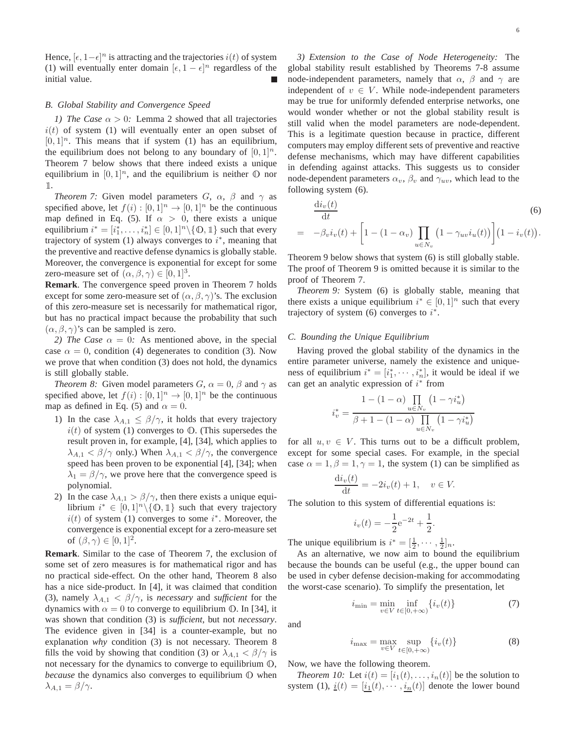Hence,  $[\epsilon, 1-\epsilon]^n$  is attracting and the trajectories  $i(t)$  of system (1) will eventually enter domain  $[\epsilon, 1 - \epsilon]^n$  regardless of the initial value.

# *B. Global Stability and Convergence Speed*

*1)* The Case  $\alpha > 0$ : Lemma 2 showed that all trajectories  $i(t)$  of system (1) will eventually enter an open subset of  $[0, 1]$ <sup>n</sup>. This means that if system (1) has an equilibrium, the equilibrium does not belong to any boundary of  $[0, 1]^n$ . Theorem 7 below shows that there indeed exists a unique equilibrium in  $[0, 1]^n$ , and the equilibrium is neither  $\mathbb O$  nor 1.

*Theorem 7:* Given model parameters  $G$ ,  $\alpha$ ,  $\beta$  and  $\gamma$  as specified above, let  $f(i) : [0,1]^n \rightarrow [0,1]^n$  be the continuous map defined in Eq. (5). If  $\alpha > 0$ , there exists a unique equilibrium  $i^* = [i_1^*, \ldots, i_n^*] \in [0, 1]^n \setminus \{0, 1\}$  such that every trajectory of system (1) always converges to  $i^*$ , meaning that the preventive and reactive defense dynamics is globally stable. Moreover, the convergence is exponential for except for some zero-measure set of  $(\alpha, \beta, \gamma) \in [0, 1]^3$ .

**Remark**. The convergence speed proven in Theorem 7 holds except for some zero-measure set of  $(\alpha, \beta, \gamma)$ 's. The exclusion of this zero-measure set is necessarily for mathematical rigor, but has no practical impact because the probability that such  $(\alpha, \beta, \gamma)$ 's can be sampled is zero.

*2) The Case*  $\alpha = 0$ : As mentioned above, in the special case  $\alpha = 0$ , condition (4) degenerates to condition (3). Now we prove that when condition (3) does not hold, the dynamics is still globally stable.

*Theorem 8:* Given model parameters  $G$ ,  $\alpha = 0$ ,  $\beta$  and  $\gamma$  as specified above, let  $f(i) : [0,1]^n \rightarrow [0,1]^n$  be the continuous map as defined in Eq. (5) and  $\alpha = 0$ .

- 1) In the case  $\lambda_{A,1} \leq \beta/\gamma$ , it holds that every trajectory  $i(t)$  of system (1) converges to  $\mathbb{O}$ . (This supersedes the result proven in, for example, [4], [34], which applies to  $\lambda_{A,1} < \beta/\gamma$  only.) When  $\lambda_{A,1} < \beta/\gamma$ , the convergence speed has been proven to be exponential [4], [34]; when  $\lambda_1 = \beta/\gamma$ , we prove here that the convergence speed is polynomial.
- 2) In the case  $\lambda_{A,1} > \frac{\beta}{\gamma}$ , then there exists a unique equilibrium  $i^* \in [0,1]^n \setminus \{0,1\}$  such that every trajectory  $i(t)$  of system (1) converges to some  $i^*$ . Moreover, the convergence is exponential except for a zero-measure set of  $(\beta, \gamma) \in [0, 1]^2$ .

**Remark**. Similar to the case of Theorem 7, the exclusion of some set of zero measures is for mathematical rigor and has no practical side-effect. On the other hand, Theorem 8 also has a nice side-product. In [4], it was claimed that condition (3), namely  $\lambda_{A,1} < \beta/\gamma$ , is *necessary* and *sufficient* for the dynamics with  $\alpha = 0$  to converge to equilibrium 0. In [34], it was shown that condition (3) is *sufficient*, but not *necessary*. The evidence given in [34] is a counter-example, but no explanation *why* condition (3) is not necessary. Theorem 8 fills the void by showing that condition (3) or  $\lambda_{A,1} < \beta/\gamma$  is not necessary for the dynamics to converge to equilibrium <sup>O</sup>, *because* the dynamics also converges to equilibrium <sup>O</sup> when  $\lambda_{A,1} = \beta/\gamma$ .

.

*3) Extension to the Case of Node Heterogeneity:* The global stability result established by Theorems 7-8 assume node-independent parameters, namely that  $\alpha$ ,  $\beta$  and  $\gamma$  are independent of  $v \in V$ . While node-independent parameters may be true for uniformly defended enterprise networks, one would wonder whether or not the global stability result is still valid when the model parameters are node-dependent. This is a legitimate question because in practice, different computers may employ different sets of preventive and reactive defense mechanisms, which may have different capabilities in defending against attacks. This suggests us to consider node-dependent parameters  $\alpha_v$ ,  $\beta_v$  and  $\gamma_{uv}$ , which lead to the following system (6).

$$
\frac{\mathrm{d}i_v(t)}{\mathrm{d}t} = -\beta_v i_v(t) + \left[1 - (1 - \alpha_v) \prod_{u \in N_v} \left(1 - \gamma_{uv} i_u(t)\right)\right] \left(1 - i_v(t)\right).
$$
\n(6)

Theorem 9 below shows that system (6) is still globally stable. The proof of Theorem 9 is omitted because it is similar to the proof of Theorem 7.

*Theorem 9:* System (6) is globally stable, meaning that there exists a unique equilibrium  $i^* \in [0,1]^n$  such that every trajectory of system (6) converges to  $i^*$ .

# *C. Bounding the Unique Equilibrium*

Having proved the global stability of the dynamics in the entire parameter universe, namely the existence and uniqueness of equilibrium  $i^* = [i_1^*, \cdots, i_n^*]$ , it would be ideal if we can get an analytic expression of  $i^*$  from

$$
i_v^* = \frac{1 - (1 - \alpha) \prod_{u \in N_v} (1 - \gamma i_u^*)}{\beta + 1 - (1 - \alpha) \prod_{u \in N_v} (1 - \gamma i_u^*)}
$$

for all  $u, v \in V$ . This turns out to be a difficult problem, except for some special cases. For example, in the special case  $\alpha = 1, \beta = 1, \gamma = 1$ , the system (1) can be simplified as

$$
\frac{\mathrm{d}i_v(t)}{\mathrm{d}t} = -2i_v(t) + 1, \quad v \in V.
$$

The solution to this system of differential equations is:

$$
i_v(t) = -\frac{1}{2}e^{-2t} + \frac{1}{2}
$$

The unique equilibrium is  $i^* = [\frac{1}{2}, \cdots, \frac{1}{2}]_n$ .

As an alternative, we now aim to bound the equilibrium because the bounds can be useful (e.g., the upper bound can be used in cyber defense decision-making for accommodating the worst-case scenario). To simplify the presentation, let

$$
i_{\min} = \min_{v \in V} \inf_{t \in [0, +\infty)} \{i_v(t)\} \tag{7}
$$

.

and

$$
i_{\max} = \max_{v \in V} \sup_{t \in [0, +\infty)} \{i_v(t)\}
$$
 (8)

Now, we have the following theorem.

*Theorem 10:* Let  $i(t) = [i_1(t), \ldots, i_n(t)]$  be the solution to system (1),  $\underline{i}(t) = [\underline{i_1}(t), \cdots, \underline{i_n}(t)]$  denote the lower bound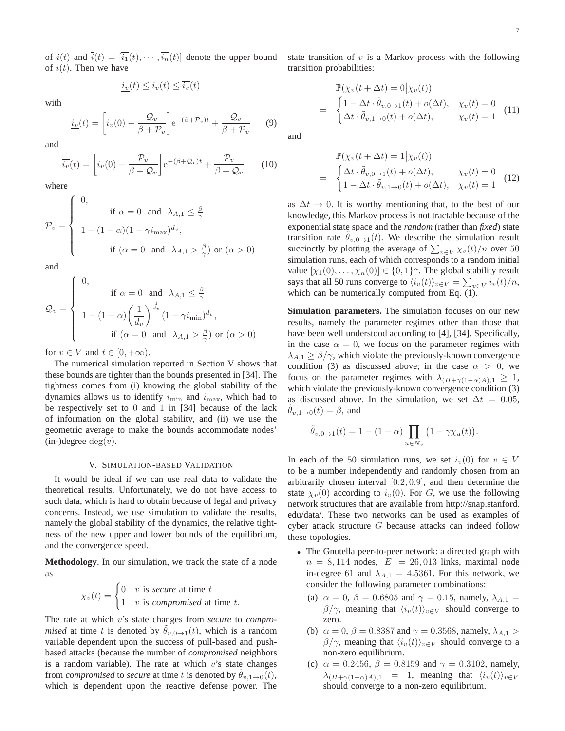of  $i(t)$  and  $\overline{i}(t) = [\overline{i_1}(t), \cdots, \overline{i_n}(t)]$  denote the upper bound of  $i(t)$ . Then we have

$$
\underline{i_v}(t) \le \overline{i_v}(t) \le \overline{i_v}(t)
$$

with

$$
\underline{i_v}(t) = \left[i_v(0) - \frac{\mathcal{Q}_v}{\beta + \mathcal{P}_v}\right] e^{-(\beta + \mathcal{P}_v)t} + \frac{\mathcal{Q}_v}{\beta + \mathcal{P}_v}
$$
(9)

and

$$
\overline{i_v}(t) = \left[i_v(0) - \frac{\mathcal{P}_v}{\beta + \mathcal{Q}_v}\right] e^{-(\beta + \mathcal{Q}_v)t} + \frac{\mathcal{P}_v}{\beta + \mathcal{Q}_v}
$$
(10)

where

$$
\mathcal{P}_v = \begin{cases}\n0, & \text{if } \alpha = 0 \text{ and } \lambda_{A,1} \le \frac{\beta}{\gamma} \\
1 - (1 - \alpha)(1 - \gamma i_{\text{max}})^{d_v}, & \text{if } (\alpha = 0 \text{ and } \lambda_{A,1} > \frac{\beta}{\gamma}) \text{ or } (\alpha > 0)\n\end{cases}
$$

and

$$
\mathcal{Q}_v = \begin{cases}\n0, & \text{if } \alpha = 0 \text{ and } \lambda_{A,1} \leq \frac{\beta}{\gamma} \\
1 - (1 - \alpha) \left(\frac{1}{d_v}\right)^{\frac{1}{d_v}} (1 - \gamma i_{\min})^{d_v}, \\
\text{if } (\alpha = 0 \text{ and } \lambda_{A,1} > \frac{\beta}{\gamma}) \text{ or } (\alpha > 0)\n\end{cases}
$$

for  $v \in V$  and  $t \in [0, +\infty)$ .

The numerical simulation reported in Section V shows that these bounds are tighter than the bounds presented in [34]. The tightness comes from (i) knowing the global stability of the dynamics allows us to identify  $i_{\min}$  and  $i_{\max}$ , which had to be respectively set to 0 and 1 in [34] because of the lack of information on the global stability, and (ii) we use the geometric average to make the bounds accommodate nodes'  $(in-)degree deg(v).$ 

#### V. SIMULATION-BASED VALIDATION

It would be ideal if we can use real data to validate the theoretical results. Unfortunately, we do not have access to such data, which is hard to obtain because of legal and privacy concerns. Instead, we use simulation to validate the results, namely the global stability of the dynamics, the relative tightness of the new upper and lower bounds of the equilibrium, and the convergence speed.

**Methodology**. In our simulation, we track the state of a node as

$$
\chi_v(t) = \begin{cases} 0 & v \text{ is secure at time } t \\ 1 & v \text{ is compromised at time } t. \end{cases}
$$

The rate at which v's state changes from *secure* to *compromised* at time t is denoted by  $\theta_{v,0\to 1}(t)$ , which is a random variable dependent upon the success of pull-based and pushbased attacks (because the number of *compromised* neighbors is a random variable). The rate at which  $v$ 's state changes from *compromised* to *secure* at time t is denoted by  $\theta_{v,1\rightarrow 0}(t)$ , which is dependent upon the reactive defense power. The state transition of  $v$  is a Markov process with the following transition probabilities:

$$
\mathbb{P}(\chi_v(t + \Delta t) = 0 | \chi_v(t))
$$
\n
$$
= \begin{cases}\n1 - \Delta t \cdot \tilde{\theta}_{v, 0 \to 1}(t) + o(\Delta t), & \chi_v(t) = 0 \\
\Delta t \cdot \tilde{\theta}_{v, 1 \to 0}(t) + o(\Delta t), & \chi_v(t) = 1\n\end{cases}
$$
\n(11)

and

$$
\mathbb{P}(\chi_v(t + \Delta t) = 1 | \chi_v(t))
$$
\n
$$
= \begin{cases}\n\Delta t \cdot \tilde{\theta}_{v,0 \to 1}(t) + o(\Delta t), & \chi_v(t) = 0 \\
1 - \Delta t \cdot \tilde{\theta}_{v,1 \to 0}(t) + o(\Delta t), & \chi_v(t) = 1\n\end{cases}
$$
\n(12)

as  $\Delta t \rightarrow 0$ . It is worthy mentioning that, to the best of our knowledge, this Markov process is not tractable because of the exponential state space and the *random* (rather than *fixed*) state transition rate  $\theta_{v,0\to 1}(t)$ . We describe the simulation result succinctly by plotting the average of  $\sum_{v \in V} \chi_v(t)/n$  over 50 simulation runs, each of which corresponds to a random initial value  $[\chi_1(0), \ldots, \chi_n(0)] \in \{0, 1\}^n$ . The global stability result says that all 50 runs converge to  $\langle i_v(t) \rangle_{v \in V} = \sum_{v \in V} i_v(t)/n$ , which can be numerically computed from Eq. (1).

**Simulation parameters.** The simulation focuses on our new results, namely the parameter regimes other than those that have been well understood according to [4], [34]. Specifically, in the case  $\alpha = 0$ , we focus on the parameter regimes with  $\lambda_{A,1} \geq \beta/\gamma$ , which violate the previously-known convergence condition (3) as discussed above; in the case  $\alpha > 0$ , we focus on the parameter regimes with  $\lambda_{(H+\gamma(1-\alpha)A),1} \geq 1$ , which violate the previously-known convergence condition  $(3)$ as discussed above. In the simulation, we set  $\Delta t = 0.05$ ,  $\ddot{\theta}_{v,1\rightarrow 0}(t) = \beta$ , and

$$
\tilde{\theta}_{v,0\to 1}(t) = 1 - (1 - \alpha) \prod_{u \in N_v} (1 - \gamma \chi_u(t)).
$$

In each of the 50 simulation runs, we set  $i_v(0)$  for  $v \in V$ to be a number independently and randomly chosen from an arbitrarily chosen interval [0.2, 0.9], and then determine the state  $\chi_v(0)$  according to  $i_v(0)$ . For G, we use the following network structures that are available from http://snap.stanford. edu/data/. These two networks can be used as examples of cyber attack structure G because attacks can indeed follow these topologies.

- The Gnutella peer-to-peer network: a directed graph with  $n = 8,114$  nodes,  $|E| = 26,013$  links, maximal node in-degree 61 and  $\lambda_{A,1} = 4.5361$ . For this network, we consider the following parameter combinations:
	- (a)  $\alpha = 0$ ,  $\beta = 0.6805$  and  $\gamma = 0.15$ , namely,  $\lambda_{A,1} =$  $\beta/\gamma$ , meaning that  $\langle i_v(t)\rangle_{v\in V}$  should converge to zero.
	- (b)  $\alpha = 0$ ,  $\beta = 0.8387$  and  $\gamma = 0.3568$ , namely,  $\lambda_{A,1} >$  $\beta/\gamma$ , meaning that  $\langle i_v(t)\rangle_{v\in V}$  should converge to a non-zero equilibrium.
	- (c)  $\alpha = 0.2456$ ,  $\beta = 0.8159$  and  $\gamma = 0.3102$ , namely,  $\lambda_{(H+\gamma(1-\alpha)A),1}$  = 1, meaning that  $\langle i_v(t) \rangle_{v\in V}$ should converge to a non-zero equilibrium.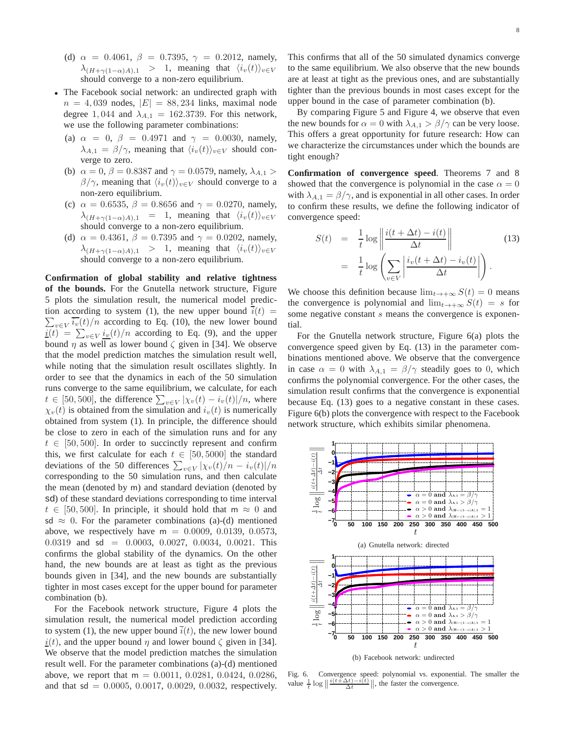- (d)  $\alpha = 0.4061, \beta = 0.7395, \gamma = 0.2012, \text{ namely,}$  $\lambda_{(H+\gamma(1-\alpha)A),1} > 1$ , meaning that  $\langle i_v(t) \rangle_{v \in V}$ should converge to a non-zero equilibrium.
- The Facebook social network: an undirected graph with  $n = 4,039$  nodes,  $|E| = 88,234$  links, maximal node degree 1, 044 and  $\lambda_{A,1} = 162.3739$ . For this network, we use the following parameter combinations:
	- (a)  $\alpha = 0, \ \beta = 0.4971$  and  $\gamma = 0.0030$ , namely,  $\lambda_{A,1} = \beta/\gamma$ , meaning that  $\langle i_v(t) \rangle_{v \in V}$  should converge to zero.
	- (b)  $\alpha = 0$ ,  $\beta = 0.8387$  and  $\gamma = 0.0579$ , namely,  $\lambda_{A,1} >$  $\beta/\gamma$ , meaning that  $\langle i_v(t)\rangle_{v\in V}$  should converge to a non-zero equilibrium.
	- (c)  $\alpha = 0.6535$ ,  $\beta = 0.8656$  and  $\gamma = 0.0270$ , namely,  $\lambda_{(H+\gamma(1-\alpha)A),1}$  = 1, meaning that  $\langle i_v(t) \rangle_{v\in V}$ should converge to a non-zero equilibrium.
	- (d)  $\alpha = 0.4361$ ,  $\beta = 0.7395$  and  $\gamma = 0.0202$ , namely,  $\lambda_{(H+\gamma(1-\alpha)A),1}$  > 1, meaning that  $\langle i_v(t) \rangle_{v\in V}$ should converge to a non-zero equilibrium.

**Confirmation of global stability and relative tightness of the bounds.** For the Gnutella network structure, Figure 5 plots the simulation result, the numerical model prediction according to system (1), the new upper bound  $\overline{i}(t)$  =  $\sum_{v \in V} \overline{i_v}(t) / n$  according to Eq. (10), the new lower bound  $\underline{i}(t) = \sum_{v \in V} \underline{i_v}(t) / n$  according to Eq. (9), and the upper bound  $\eta$  as well as lower bound  $\zeta$  given in [34]. We observe that the model prediction matches the simulation result well, while noting that the simulation result oscillates slightly. In order to see that the dynamics in each of the 50 simulation runs converge to the same equilibrium, we calculate, for each  $t \in [50, 500]$ , the difference  $\sum_{v \in V} |\chi_v(t) - i_v(t)|/n$ , where  $\chi_v(t)$  is obtained from the simulation and  $i_v(t)$  is numerically obtained from system (1). In principle, the difference should be close to zero in each of the simulation runs and for any  $t \in [50, 500]$ . In order to succinctly represent and confirm this, we first calculate for each  $t \in [50, 5000]$  the standard deviations of the 50 differences  $\sum_{v \in V} |\chi_v(t)/n - i_v(t)|/n$ corresponding to the 50 simulation runs, and then calculate the mean (denoted by m) and standard deviation (denoted by sd) of these standard deviations corresponding to time interval  $t \in [50, 500]$ . In principle, it should hold that m  $\approx 0$  and sd  $\approx$  0. For the parameter combinations (a)-(d) mentioned above, we respectively have  $m = 0.0009, 0.0139, 0.0573$ , 0.0319 and sd = 0.0003, 0.0027, 0.0034, 0.0021. This confirms the global stability of the dynamics. On the other hand, the new bounds are at least as tight as the previous bounds given in [34], and the new bounds are substantially tighter in most cases except for the upper bound for parameter combination (b).

For the Facebook network structure, Figure 4 plots the simulation result, the numerical model prediction according to system (1), the new upper bound  $\overline{i}(t)$ , the new lower bound  $\underline{i}(t)$ , and the upper bound  $\eta$  and lower bound  $\zeta$  given in [34]. We observe that the model prediction matches the simulation result well. For the parameter combinations (a)-(d) mentioned above, we report that  $m = 0.0011, 0.0281, 0.0424, 0.0286$ , and that  $sd = 0.0005, 0.0017, 0.0029, 0.0032$ , respectively.

This confirms that all of the 50 simulated dynamics converge to the same equilibrium. We also observe that the new bounds are at least at tight as the previous ones, and are substantially tighter than the previous bounds in most cases except for the upper bound in the case of parameter combination (b).

By comparing Figure 5 and Figure 4, we observe that even the new bounds for  $\alpha = 0$  with  $\lambda_{A,1} > \beta/\gamma$  can be very loose. This offers a great opportunity for future research: How can we characterize the circumstances under which the bounds are tight enough?

**Confirmation of convergence speed**. Theorems 7 and 8 showed that the convergence is polynomial in the case  $\alpha = 0$ with  $\lambda_{A,1} = \beta/\gamma$ , and is exponential in all other cases. In order to confirm these results, we define the following indicator of convergence speed:

$$
S(t) = \frac{1}{t} \log \left\| \frac{i(t + \Delta t) - i(t)}{\Delta t} \right\|
$$
\n
$$
= \frac{1}{t} \log \left( \sum_{v \in V} \left| \frac{i_v(t + \Delta t) - i_v(t)}{\Delta t} \right| \right).
$$
\n(13)

We choose this definition because  $\lim_{t\to+\infty} S(t) = 0$  means the convergence is polynomial and  $\lim_{t\to+\infty} S(t) = s$  for some negative constant s means the convergence is exponential.

For the Gnutella network structure, Figure 6(a) plots the convergence speed given by Eq. (13) in the parameter combinations mentioned above. We observe that the convergence in case  $\alpha = 0$  with  $\lambda_{A,1} = \beta/\gamma$  steadily goes to 0, which confirms the polynomial convergence. For the other cases, the simulation result confirms that the convergence is exponential because Eq. (13) goes to a negative constant in these cases. Figure 6(b) plots the convergence with respect to the Facebook network structure, which exhibits similar phenomena.



Fig. 6. Convergence speed: polynomial vs. exponential. The smaller the value  $\frac{1}{t} \log \left\| \frac{i(t+\Delta t)-i(t)}{\Delta t} \right\|$ , the faster the convergence.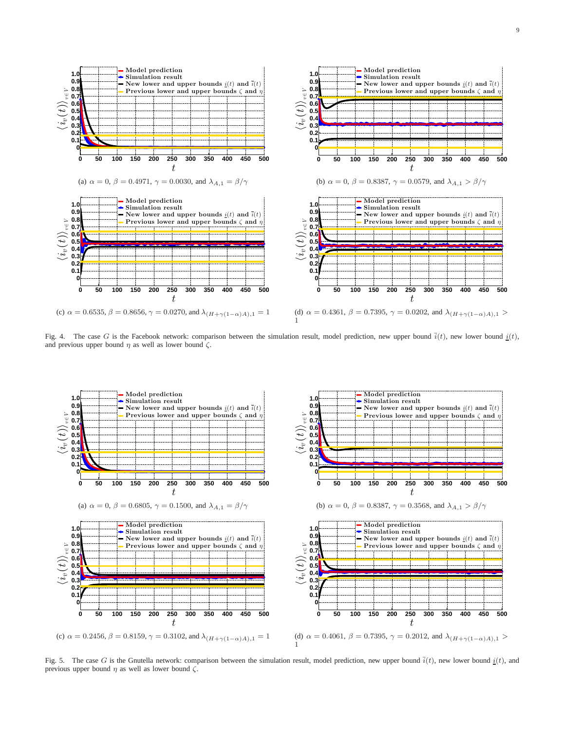

Fig. 4. The case G is the Facebook network: comparison between the simulation result, model prediction, new upper bound  $\overline{i}(t)$ , new lower bound  $\underline{i}(t)$ , and previous upper bound  $\eta$  as well as lower bound  $\zeta$ .

1



Fig. 5. The case G is the Gnutella network: comparison between the simulation result, model prediction, new upper bound  $\overline{i}(t)$ , new lower bound  $\underline{i}(t)$ , and previous upper bound  $\eta$  as well as lower bound  $\zeta$ .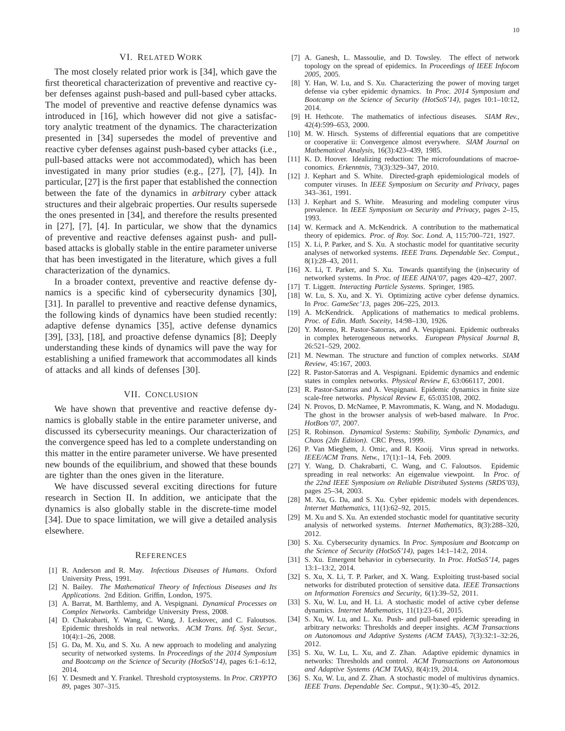## VI. RELATED WORK

The most closely related prior work is [34], which gave the first theoretical characterization of preventive and reactive cyber defenses against push-based and pull-based cyber attacks. The model of preventive and reactive defense dynamics was introduced in [16], which however did not give a satisfactory analytic treatment of the dynamics. The characterization presented in [34] supersedes the model of preventive and reactive cyber defenses against push-based cyber attacks (i.e., pull-based attacks were not accommodated), which has been investigated in many prior studies (e.g., [27], [7], [4]). In particular, [27] is the first paper that established the connection between the fate of the dynamics in *arbitrary* cyber attack structures and their algebraic properties. Our results supersede the ones presented in [34], and therefore the results presented in [27], [7], [4]. In particular, we show that the dynamics of preventive and reactive defenses against push- and pullbased attacks is globally stable in the entire parameter universe that has been investigated in the literature, which gives a full characterization of the dynamics.

In a broader context, preventive and reactive defense dynamics is a specific kind of cybersecurity dynamics [30], [31]. In parallel to preventive and reactive defense dynamics, the following kinds of dynamics have been studied recently: adaptive defense dynamics [35], active defense dynamics [39], [33], [18], and proactive defense dynamics [8]; Deeply understanding these kinds of dynamics will pave the way for establishing a unified framework that accommodates all kinds of attacks and all kinds of defenses [30].

## VII. CONCLUSION

We have shown that preventive and reactive defense dynamics is globally stable in the entire parameter universe, and discussed its cybersecurity meanings. Our characterization of the convergence speed has led to a complete understanding on this matter in the entire parameter universe. We have presented new bounds of the equilibrium, and showed that these bounds are tighter than the ones given in the literature.

We have discussed several exciting directions for future research in Section II. In addition, we anticipate that the dynamics is also globally stable in the discrete-time model [34]. Due to space limitation, we will give a detailed analysis elsewhere.

#### **REFERENCES**

- [1] R. Anderson and R. May. *Infectious Diseases of Humans*. Oxford University Press, 1991.
- [2] N. Bailey. *The Mathematical Theory of Infectious Diseases and Its Applications*. 2nd Edition. Griffin, London, 1975.
- [3] A. Barrat, M. Barthlemy, and A. Vespignani. *Dynamical Processes on Complex Networks*. Cambridge University Press, 2008.
- [4] D. Chakrabarti, Y. Wang, C. Wang, J. Leskovec, and C. Faloutsos. Epidemic thresholds in real networks. *ACM Trans. Inf. Syst. Secur.*, 10(4):1–26, 2008.
- [5] G. Da, M. Xu, and S. Xu. A new approach to modeling and analyzing security of networked systems. In *Proceedings of the 2014 Symposium and Bootcamp on the Science of Security (HotSoS'14)*, pages 6:1–6:12, 2014.
- [6] Y. Desmedt and Y. Frankel. Threshold cryptosystems. In *Proc. CRYPTO 89*, pages 307–315.
- [7] A. Ganesh, L. Massoulie, and D. Towsley. The effect of network topology on the spread of epidemics. In *Proceedings of IEEE Infocom 2005*, 2005.
- [8] Y. Han, W. Lu, and S. Xu. Characterizing the power of moving target defense via cyber epidemic dynamics. In *Proc. 2014 Symposium and Bootcamp on the Science of Security (HotSoS'14)*, pages 10:1–10:12, 2014.
- [9] H. Hethcote. The mathematics of infectious diseases. *SIAM Rev.*, 42(4):599–653, 2000.
- [10] M. W. Hirsch. Systems of differential equations that are competitive or cooperative ii: Convergence almost everywhere. *SIAM Journal on Mathematical Analysis*, 16(3):423–439, 1985.
- [11] K. D. Hoover. Idealizing reduction: The microfoundations of macroeconomics. *Erkenntnis*, 73(3):329–347, 2010.
- [12] J. Kephart and S. White. Directed-graph epidemiological models of computer viruses. In *IEEE Symposium on Security and Privacy*, pages 343–361, 1991.
- [13] J. Kephart and S. White. Measuring and modeling computer virus prevalence. In *IEEE Symposium on Security and Privacy*, pages 2–15, 1993.
- [14] W. Kermack and A. McKendrick. A contribution to the mathematical theory of epidemics. *Proc. of Roy. Soc. Lond. A*, 115:700–721, 1927.
- [15] X. Li, P. Parker, and S. Xu. A stochastic model for quantitative security analyses of networked systems. *IEEE Trans. Dependable Sec. Comput.*, 8(1):28–43, 2011.
- [16] X. Li, T. Parker, and S. Xu. Towards quantifying the (in)security of networked systems. In *Proc. of IEEE AINA'07*, pages 420–427, 2007.
- [17] T. Liggett. *Interacting Particle Systems*. Springer, 1985. [18] W. Lu, S. Xu, and X. Yi. Optimizing active cyber defense dynamics.
- In *Proc. GameSec'13*, pages 206–225, 2013.
- [19] A. McKendrick. Applications of mathematics to medical problems. *Proc. of Edin. Math. Soceity*, 14:98–130, 1926.
- [20] Y. Moreno, R. Pastor-Satorras, and A. Vespignani. Epidemic outbreaks in complex heterogeneous networks. *European Physical Journal B*, 26:521–529, 2002.
- [21] M. Newman. The structure and function of complex networks. *SIAM Review*, 45:167, 2003.
- [22] R. Pastor-Satorras and A. Vespignani. Epidemic dynamics and endemic states in complex networks. *Physical Review E*, 63:066117, 2001.
- [23] R. Pastor-Satorras and A. Vespignani. Epidemic dynamics in finite size scale-free networks. *Physical Review E*, 65:035108, 2002.
- [24] N. Provos, D. McNamee, P. Mavrommatis, K. Wang, and N. Modadugu. The ghost in the browser analysis of web-based malware. In *Proc. HotBots'07*, 2007.
- [25] R. Robinson. *Dynamical Systems: Stability, Symbolic Dynamics, and Chaos (2dn Edition)*. CRC Press, 1999.
- [26] P. Van Mieghem, J. Omic, and R. Kooij. Virus spread in networks. *IEEE/ACM Trans. Netw.*, 17(1):1–14, Feb. 2009.
- [27] Y. Wang, D. Chakrabarti, C. Wang, and C. Faloutsos. Epidemic spreading in real networks: An eigenvalue viewpoint. In *Proc. of the 22nd IEEE Symposium on Reliable Distributed Systems (SRDS'03)*, pages 25–34, 2003.
- [28] M. Xu, G. Da, and S. Xu. Cyber epidemic models with dependences. *Internet Mathematics*, 11(1):62–92, 2015.
- [29] M. Xu and S. Xu. An extended stochastic model for quantitative security analysis of networked systems. *Internet Mathematics*, 8(3):288–320, 2012.
- [30] S. Xu. Cybersecurity dynamics. In *Proc. Symposium and Bootcamp on the Science of Security (HotSoS'14)*, pages 14:1–14:2, 2014.
- [31] S. Xu. Emergent behavior in cybersecurity. In *Proc. HotSoS'14*, pages 13:1–13:2, 2014.
- [32] S. Xu, X. Li, T. P. Parker, and X. Wang. Exploiting trust-based social networks for distributed protection of sensitive data. *IEEE Transactions on Information Forensics and Security*, 6(1):39–52, 2011.
- [33] S. Xu, W. Lu, and H. Li. A stochastic model of active cyber defense dynamics. *Internet Mathematics*, 11(1):23–61, 2015.
- [34] S. Xu, W. Lu, and L. Xu. Push- and pull-based epidemic spreading in arbitrary networks: Thresholds and deeper insights. *ACM Transactions on Autonomous and Adaptive Systems (ACM TAAS)*, 7(3):32:1–32:26, 2012.
- [35] S. Xu, W. Lu, L. Xu, and Z. Zhan. Adaptive epidemic dynamics in networks: Thresholds and control. *ACM Transactions on Autonomous and Adaptive Systems (ACM TAAS)*, 8(4):19, 2014.
- [36] S. Xu, W. Lu, and Z. Zhan. A stochastic model of multivirus dynamics. *IEEE Trans. Dependable Sec. Comput.*, 9(1):30–45, 2012.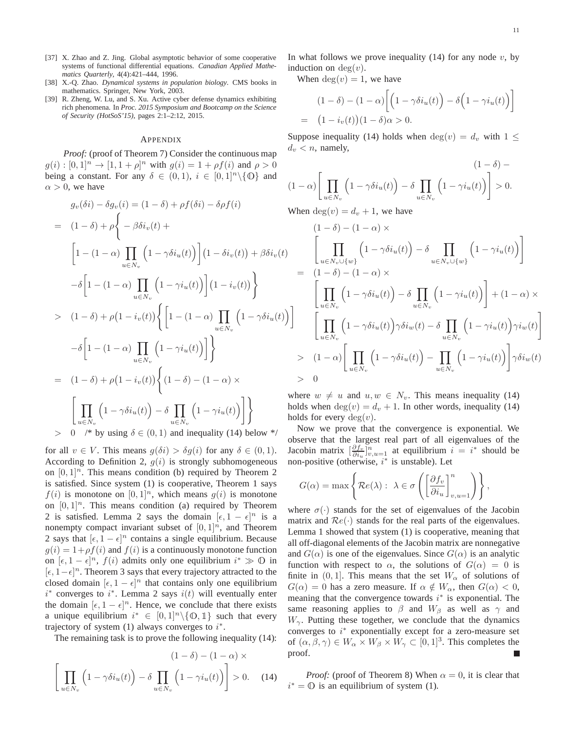- [37] X. Zhao and Z. Jing. Global asymptotic behavior of some cooperative systems of functional differential equations. *Canadian Applied Mathematics Quarterly*, 4(4):421–444, 1996.
- [38] X.-Q. Zhao. *Dynamical systems in population biology*. CMS books in mathematics. Springer, New York, 2003.
- [39] R. Zheng, W. Lu, and S. Xu. Active cyber defense dynamics exhibiting rich phenomena. In *Proc. 2015 Symposium and Bootcamp on the Science of Security (HotSoS'15)*, pages 2:1–2:12, 2015.

#### APPENDIX

*Proof:* (proof of Theorem 7) Consider the continuous map  $g(i) : [0,1]^n \to [1, 1+\rho]^n$  with  $g(i) = 1 + \rho f(i)$  and  $\rho > 0$ being a constant. For any  $\delta \in (0,1)$ ,  $i \in [0,1]^n \backslash {\{0\}}$  and  $\alpha > 0$ , we have

$$
g_v(\delta i) - \delta g_v(i) = (1 - \delta) + \rho f(\delta i) - \delta \rho f(i)
$$
  
\n
$$
= (1 - \delta) + \rho \left\{ -\beta \delta i_v(t) + \left[1 - (1 - \alpha) \prod_{u \in N_v} \left(1 - \gamma \delta i_u(t)\right)\right] (1 - \delta i_v(t)) + \beta \delta i_v(t) \right\}
$$
  
\n
$$
- \delta \left[1 - (1 - \alpha) \prod_{u \in N_v} \left(1 - \gamma i_u(t)\right)\right] (1 - i_v(t)) \right\}
$$
  
\n
$$
> (1 - \delta) + \rho (1 - i_v(t)) \left\{ \left[1 - (1 - \alpha) \prod_{u \in N_v} \left(1 - \gamma \delta i_u(t)\right) - \delta \left[1 - (1 - \alpha) \prod_{u \in N_v} \left(1 - \gamma i_u(t)\right)\right]\right\}
$$
  
\n
$$
= (1 - \delta) + \rho (1 - i_v(t)) \left\{ (1 - \delta) - (1 - \alpha) \times \left[\prod_{u \in N_v} \left(1 - \gamma \delta i_u(t)\right) - \delta \prod_{u \in N_v} \left(1 - \gamma i_u(t)\right)\right] \right\}
$$
  
\n
$$
> 0 \quad \text{/* by using } \delta \in (0, 1) \text{ and inequality (14) below */}
$$

for all  $v \in V$ . This means  $g(\delta i) > \delta g(i)$  for any  $\delta \in (0,1)$ . According to Definition 2,  $g(i)$  is strongly subhomogeneous on  $[0, 1]^n$ . This means condition (b) required by Theorem 2 is satisfied. Since system (1) is cooperative, Theorem 1 says  $f(i)$  is monotone on  $[0, 1]^n$ , which means  $g(i)$  is monotone on  $[0, 1]^n$ . This means condition (a) required by Theorem 2 is satisfied. Lemma 2 says the domain  $[\epsilon, 1 - \epsilon]^n$  is a nonempty compact invariant subset of  $[0, 1]^n$ , and Theorem 2 says that  $[\epsilon, 1 - \epsilon]^n$  contains a single equilibrium. Because  $g(i) = 1 + \rho f(i)$  and  $f(i)$  is a continuously monotone function on  $[\epsilon, 1 - \epsilon]^n$ ,  $f(i)$  admits only one equilibrium  $i^* \gg 0$  in [ $\epsilon$ , 1 –  $\epsilon$ ]<sup>n</sup>. Theorem 3 says that every trajectory attracted to the closed domain  $[\epsilon, 1 - \epsilon]^n$  that contains only one equilibrium  $i^*$  converges to  $i^*$ . Lemma 2 says  $i(t)$  will eventually enter the domain  $[\epsilon, 1 - \epsilon]^n$ . Hence, we conclude that there exists a unique equilibrium  $i^* \in [0,1]^n \setminus \{0,1\}$  such that every trajectory of system  $(1)$  always converges to  $i^*$ .

The remaining task is to prove the following inequality (14):

$$
(1 - \delta) - (1 - \alpha) \times \left[ \prod_{u \in N_v} \left( 1 - \gamma \delta i_u(t) \right) - \delta \prod_{u \in N_v} \left( 1 - \gamma i_u(t) \right) \right] > 0. \quad (14)
$$

In what follows we prove inequality  $(14)$  for any node v, by induction on  $deg(v)$ .

When  $deg(v) = 1$ , we have

$$
(1 - \delta) - (1 - \alpha) \left[ \left( 1 - \gamma \delta i_u(t) \right) - \delta \left( 1 - \gamma i_u(t) \right) \right]
$$
  
= 
$$
(1 - i_v(t))(1 - \delta)\alpha > 0.
$$

Suppose inequality (14) holds when  $\deg(v) = d_v$  with  $1 \leq$  $d_v < n$ , namely,

$$
(1 - \delta) -
$$
  

$$
(1 - \alpha) \left[ \prod_{u \in N_v} \left( 1 - \gamma \delta i_u(t) \right) - \delta \prod_{u \in N_v} \left( 1 - \gamma i_u(t) \right) \right] > 0.
$$

When  $deg(v) = d_v + 1$ , we have

$$
(1 - \delta) - (1 - \alpha) \times
$$
\n
$$
\left[ \prod_{u \in N_v \cup \{w\}} \left( 1 - \gamma \delta i_u(t) \right) - \delta \prod_{u \in N_v \cup \{w\}} \left( 1 - \gamma i_u(t) \right) \right]
$$
\n
$$
= (1 - \delta) - (1 - \alpha) \times
$$
\n
$$
\left[ \prod_{u \in N_v} \left( 1 - \gamma \delta i_u(t) \right) - \delta \prod_{u \in N_v} \left( 1 - \gamma i_u(t) \right) \right] + (1 - \alpha) \times
$$
\n
$$
\left[ \prod_{u \in N_v} \left( 1 - \gamma \delta i_u(t) \right) \gamma \delta i_w(t) - \delta \prod_{u \in N_v} \left( 1 - \gamma i_u(t) \right) \gamma i_w(t) \right]
$$
\n
$$
> (1 - \alpha) \left[ \prod_{u \in N_v} \left( 1 - \gamma \delta i_u(t) \right) - \prod_{u \in N_v} \left( 1 - \gamma i_u(t) \right) \right] \gamma \delta i_w(t)
$$
\n
$$
> 0
$$

where  $w \neq u$  and  $u, w \in N_v$ . This means inequality (14) holds when  $deg(v) = d_v + 1$ . In other words, inequality (14) holds for every  $deg(v)$ .

Now we prove that the convergence is exponential. We observe that the largest real part of all eigenvalues of the Jacobin matrix  $\left[\frac{\partial f_v}{\partial i_u}\right]_{v,u=1}^n$  at equilibrium  $i = i^*$  should be non-positive (otherwise,  $i^*$  is unstable). Let

$$
G(\alpha) = \max \left\{ \mathcal{R}e(\lambda): \ \lambda \in \sigma \left( \left[ \frac{\partial f_v}{\partial i_u} \right]_{v,u=1}^n \right) \right\},\
$$

where  $\sigma(\cdot)$  stands for the set of eigenvalues of the Jacobin matrix and  $\mathcal{R}e(\cdot)$  stands for the real parts of the eigenvalues. Lemma 1 showed that system (1) is cooperative, meaning that all off-diagonal elements of the Jacobin matrix are nonnegative and  $G(\alpha)$  is one of the eigenvalues. Since  $G(\alpha)$  is an analytic function with respect to  $\alpha$ , the solutions of  $G(\alpha) = 0$  is finite in  $(0, 1]$ . This means that the set  $W_{\alpha}$  of solutions of  $G(\alpha) = 0$  has a zero measure. If  $\alpha \notin W_\alpha$ , then  $G(\alpha) < 0$ , meaning that the convergence towards  $i^*$  is exponential. The same reasoning applies to  $\beta$  and  $W_{\beta}$  as well as  $\gamma$  and  $W_{\gamma}$ . Putting these together, we conclude that the dynamics converges to  $i^*$  exponentially except for a zero-measure set of  $(\alpha, \beta, \gamma) \in W_\alpha \times W_\beta \times W_\gamma \subset [0, 1]^3$ . This completes the proof.

*Proof:* (proof of Theorem 8) When  $\alpha = 0$ , it is clear that  $i^* = \mathbb{O}$  is an equilibrium of system (1).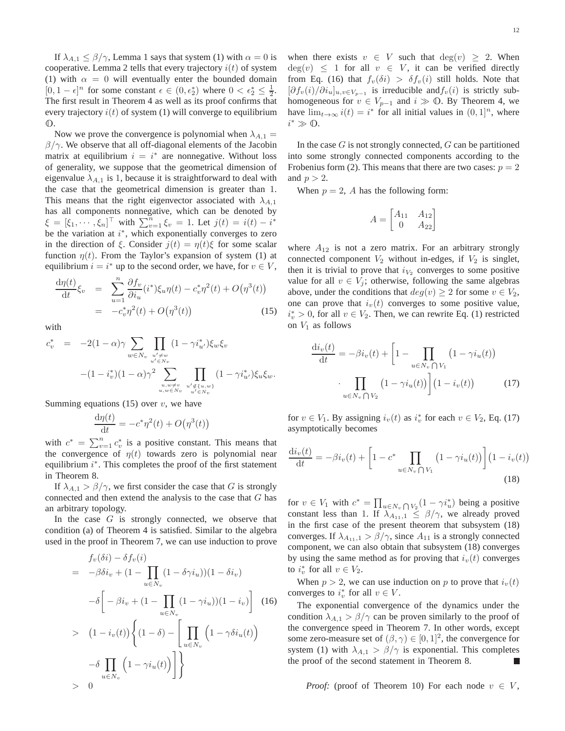If  $\lambda_{A,1} \le \beta/\gamma$ , Lemma 1 says that system (1) with  $\alpha = 0$  is cooperative. Lemma 2 tells that every trajectory  $i(t)$  of system (1) with  $\alpha = 0$  will eventually enter the bounded domain  $[0, 1 - \epsilon]^n$  for some constant  $\epsilon \in (0, \epsilon_2^*)$  where  $0 < \epsilon_2^* \leq \frac{1}{2}$ . The first result in Theorem 4 as well as its proof confirms that every trajectory  $i(t)$  of system (1) will converge to equilibrium  $\mathbb{O}$ .

Now we prove the convergence is polynomial when  $\lambda_{A,1} =$  $\beta/\gamma$ . We observe that all off-diagonal elements of the Jacobin matrix at equilibrium  $i = i^*$  are nonnegative. Without loss of generality, we suppose that the geometrical dimension of eigenvalue  $\lambda_{A,1}$  is 1, because it is straightforward to deal with the case that the geometrical dimension is greater than 1. This means that the right eigenvector associated with  $\lambda_{A,1}$ has all components nonnegative, which can be denoted by  $\xi = [\xi_1, \cdots, \xi_n]^\top$  with  $\sum_{v=1}^n \xi_v = 1$ . Let  $j(t) = i(t) - i^*$ be the variation at  $i^*$ , which exponentially converges to zero in the direction of ξ. Consider  $j(t) = \eta(t)\xi$  for some scalar function  $\eta(t)$ . From the Taylor's expansion of system (1) at equilibrium  $i = i^*$  up to the second order, we have, for  $v \in V$ ,

$$
\frac{d\eta(t)}{dt}\xi_v = \sum_{u=1}^n \frac{\partial f_v}{\partial i_u}(i^*)\xi_u \eta(t) - c_v^* \eta^2(t) + O(\eta^3(t)) \n= -c_v^* \eta^2(t) + O(\eta^3(t))
$$
\n(15)

with

$$
c_v^* = -2(1-\alpha)\gamma \sum_{w \in N_v} \prod_{\substack{u' \neq w \\ u' \in N_v}} (1 - \gamma i_w^*) \xi_w \xi_v
$$

$$
-(1 - i_v^*)(1 - \alpha)\gamma^2 \sum_{\substack{u, w \neq v \\ u, w \in N_v}} \prod_{\substack{u' \notin \{u, w\} \\ u' \in N_v}} (1 - \gamma i_w^*) \xi_u \xi_w.
$$

Summing equations (15) over  $v$ , we have

 $-\delta$   $\prod$  $u \in N_v$ 

 $> 0$ 

$$
\frac{\mathrm{d}\eta(t)}{\mathrm{d}t} = -c^*\eta^2(t) + O\big(\eta^3(t)\big)
$$

with  $c^* = \sum_{v=1}^n c_v^*$  is a positive constant. This means that the convergence of  $\eta(t)$  towards zero is polynomial near equilibrium  $i^*$ . This completes the proof of the first statement in Theorem 8.

If  $\lambda_{A,1} > \frac{\beta}{\gamma}$ , we first consider the case that G is strongly connected and then extend the analysis to the case that  $G$  has an arbitrary topology.

In the case  $G$  is strongly connected, we observe that condition (a) of Theorem 4 is satisfied. Similar to the algebra used in the proof in Theorem 7, we can use induction to prove

$$
f_v(\delta i) - \delta f_v(i)
$$
  
=  $-\beta \delta i_v + (1 - \prod_{u \in N_v} (1 - \delta \gamma i_u))(1 - \delta i_v)$   

$$
-\delta \left[ -\beta i_v + (1 - \prod_{u \in N_v} (1 - \gamma i_u))(1 - i_v) \right]
$$
(16)  
>  $(1 - i_v(t)) \left\{ (1 - \delta) - \left[ \prod_{u \in N_v} \left( 1 - \gamma \delta i_u(t) \right) \right]$ 

 $\left(1-\gamma i_u(t)\right)\right]$ 

when there exists  $v \in V$  such that  $deg(v) \geq 2$ . When  $deg(v) \leq 1$  for all  $v \in V$ , it can be verified directly from Eq. (16) that  $f_v(\delta i) > \delta f_v(i)$  still holds. Note that  $[\partial f_v(i)/\partial i_u]_{u,v\in V_{p-1}}$  is irreducible and  $f_v(i)$  is strictly subhomogeneous for  $v \in V_{p-1}$  and  $i \gg 0$ . By Theorem 4, we have  $\lim_{t\to\infty} i(t) = i^*$  for all initial values in  $(0,1]^n$ , where  $i^* \gg \mathbb{O}$ .

In the case  $G$  is not strongly connected,  $G$  can be partitioned into some strongly connected components according to the Frobenius form (2). This means that there are two cases:  $p = 2$ and  $p > 2$ .

When  $p = 2$ , A has the following form:

$$
A = \begin{bmatrix} A_{11} & A_{12} \\ 0 & A_{22} \end{bmatrix}
$$

where  $A_{12}$  is not a zero matrix. For an arbitrary strongly connected component  $V_2$  without in-edges, if  $V_2$  is singlet, then it is trivial to prove that  $i_{V_2}$  converges to some positive value for all  $v \in V_i$ ; otherwise, following the same algebras above, under the conditions that  $deg(v) \geq 2$  for some  $v \in V_2$ , one can prove that  $i_v(t)$  converges to some positive value,  $i_v^* > 0$ , for all  $v \in V_2$ . Then, we can rewrite Eq. (1) restricted on  $V_1$  as follows

$$
\frac{di_v(t)}{dt} = -\beta i_v(t) + \left[1 - \prod_{u \in N_v \cap V_1} (1 - \gamma i_u(t))\right]
$$

$$
\cdot \prod_{u \in N_v \cap V_2} (1 - \gamma i_u(t)) \Bigg] (1 - i_v(t)) \tag{17}
$$

for  $v \in V_1$ . By assigning  $i_v(t)$  as  $i_v^*$  for each  $v \in V_2$ , Eq. (17) asymptotically becomes

$$
\frac{di_v(t)}{dt} = -\beta i_v(t) + \left[1 - c^* \prod_{u \in N_v \cap V_1} (1 - \gamma i_u(t))\right] (1 - i_v(t))
$$
\n(18)

for  $v \in V_1$  with  $c^* = \prod_{u \in N_v \cap V_2} (1 - \gamma i_u^*)$  being a positive constant less than 1. If  $\lambda_{A_{11},1} \leq \beta/\gamma$ , we already proved in the first case of the present theorem that subsystem (18) converges. If  $\lambda_{A_{11},1} > \frac{\beta}{\gamma}$ , since  $A_{11}$  is a strongly connected component, we can also obtain that subsystem (18) converges by using the same method as for proving that  $i_v(t)$  converges to  $i_v^*$  for all  $v \in V_2$ .

When  $p > 2$ , we can use induction on p to prove that  $i_v(t)$ converges to  $i_v^*$  for all  $v \in V$ .

The exponential convergence of the dynamics under the condition  $\lambda_{A,1} > \frac{\beta}{\gamma}$  can be proven similarly to the proof of the convergence speed in Theorem 7. In other words, except some zero-measure set of  $(\beta, \gamma) \in [0, 1]^2$ , the convergence for system (1) with  $\lambda_{A,1} > \frac{\beta}{\gamma}$  is exponential. This completes the proof of the second statement in Theorem 8. Г

*Proof:* (proof of Theorem 10) For each node  $v \in V$ ,